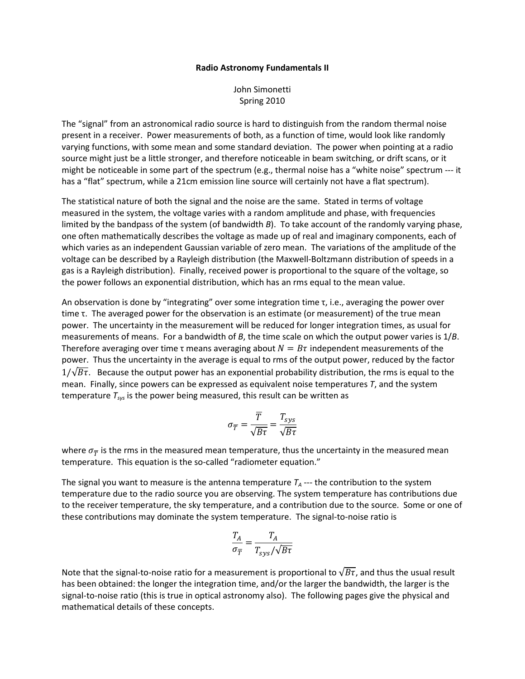## Radio Astronomy Fundamentals II

John Simonetti Spring 2010

The "signal" from an astronomical radio source is hard to distinguish from the random thermal noise present in a receiver. Power measurements of both, as a function of time, would look like randomly varying functions, with some mean and some standard deviation. The power when pointing at a radio source might just be a little stronger, and therefore noticeable in beam switching, or drift scans, or it might be noticeable in some part of the spectrum (e.g., thermal noise has a "white noise" spectrum --- it has a "flat" spectrum, while a 21cm emission line source will certainly not have a flat spectrum).

The statistical nature of both the signal and the noise are the same. Stated in terms of voltage measured in the system, the voltage varies with a random amplitude and phase, with frequencies limited by the bandpass of the system (of bandwidth B). To take account of the randomly varying phase, one often mathematically describes the voltage as made up of real and imaginary components, each of which varies as an independent Gaussian variable of zero mean. The variations of the amplitude of the voltage can be described by a Rayleigh distribution (the Maxwell-Boltzmann distribution of speeds in a gas is a Rayleigh distribution). Finally, received power is proportional to the square of the voltage, so the power follows an exponential distribution, which has an rms equal to the mean value.

An observation is done by "integrating" over some integration time  $\tau$ , i.e., averaging the power over time τ. The averaged power for the observation is an estimate (or measurement) of the true mean power. The uncertainty in the measurement will be reduced for longer integration times, as usual for measurements of means. For a bandwidth of B, the time scale on which the output power varies is  $1/B$ . Therefore averaging over time τ means averaging about  $N = B\tau$  independent measurements of the power. Thus the uncertainty in the average is equal to rms of the output power, reduced by the factor  $1/\sqrt{B\tau}$ . Because the output power has an exponential probability distribution, the rms is equal to the mean. Finally, since powers can be expressed as equivalent noise temperatures T, and the system temperature  $T_{sys}$  is the power being measured, this result can be written as

$$
\sigma_{\overline{T}} = \frac{\overline{T}}{\sqrt{B\tau}} = \frac{T_{sys}}{\sqrt{B\tau}}
$$

where  $\sigma_{\overline{T}}$  is the rms in the measured mean temperature, thus the uncertainty in the measured mean temperature. This equation is the so-called "radiometer equation."

The signal you want to measure is the antenna temperature  $T_A$  --- the contribution to the system temperature due to the radio source you are observing. The system temperature has contributions due to the receiver temperature, the sky temperature, and a contribution due to the source. Some or one of these contributions may dominate the system temperature. The signal-to-noise ratio is

$$
\frac{T_A}{\sigma_{\overline{T}}} = \frac{T_A}{T_{sys}/\sqrt{B\tau}}
$$

Note that the signal-to-noise ratio for a measurement is proportional to  $\sqrt{B\tau}$ , and thus the usual result has been obtained: the longer the integration time, and/or the larger the bandwidth, the larger is the signal-to-noise ratio (this is true in optical astronomy also). The following pages give the physical and mathematical details of these concepts.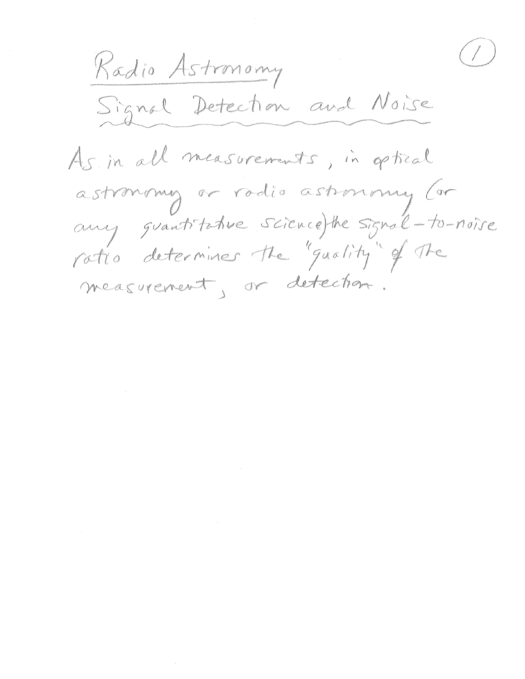$\frac{1}{2}$ Radio Astronomy Signal Detection and Noise As in all measurements, in optical astronomy or radio astronomy (or any grantitative science)the signal-to-noise ratio determines the "quality" of the measurement, or detection.

 $\label{eq:2.1} \mathcal{L}(\mathcal{L}^{\text{max}}_{\mathcal{L}}(\mathcal{L}^{\text{max}}_{\mathcal{L}}))\leq \mathcal{L}(\mathcal{L}^{\text{max}}_{\mathcal{L}}(\mathcal{L}^{\text{max}}_{\mathcal{L}}))$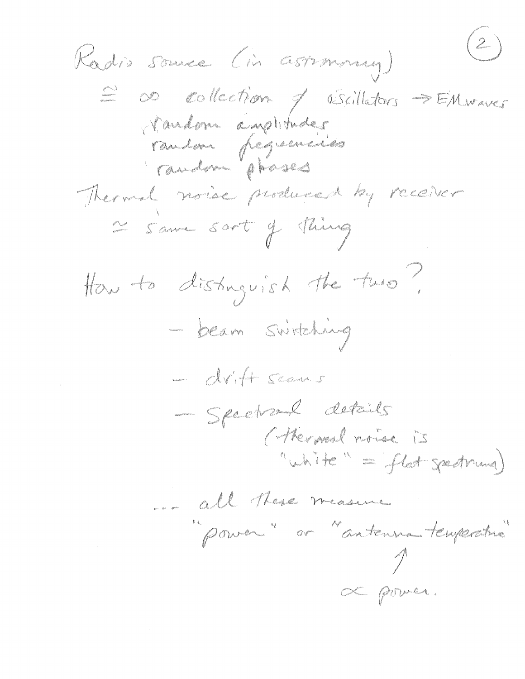$\begin{pmatrix} 2 \end{pmatrix}$ Radio Sound (in astronous)  $\sum_{n=0}^{\infty}$  collection of obscillators  $\Rightarrow$  EMwaves vandon anothers Thermal noise produced by receiver 2 samme sort of Thing How to distinguish the two? - beam switching avitt scans Spectrume details (thereal noise is "White " " flat speaknung) ... all these measure Pouver "ar "antenne temperative" de pour.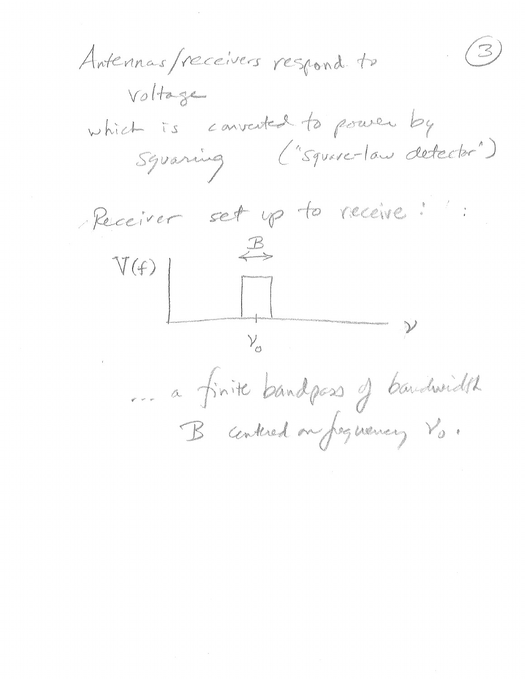$\left(\begin{array}{c} \mathbb{Z}^2 \ \mathbb{Z}^2 \end{array}\right)$ Antennas / receivers respond to VO Hangham which is converted to power by<br>Syraning ("square-law detector") Receiver set up le receive :  $V(f)$  $\mathcal{V}_{\varnothing}$ Le finite bandpas of bandwidth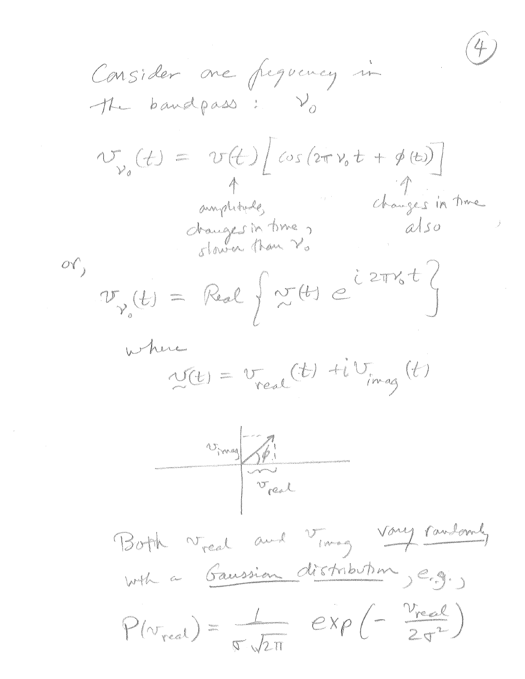Consider one frequency in The bandpass: Vo  $N_{\nu_{a}}(t) = V(t)[cos(2\pi\nu_{a}t + \phi(t))]$ <br>amplique danges in changes in time dranges in time,  $\sigma_{\gamma_{o}}(\underline{t}) = \mathbb{R}^{2} \left\{ \begin{array}{l} \text{if } \underline{t} \text{ is a } \end{array} \right\}$ where  $\frac{1}{2C(t)} = v_{real}(t) + i v_{imag}(t)$ 17 mag St. Both ved and ving voy randomly with a Gaussia distribution , e.g.  $P(v_{real}) = \frac{1}{\sigma \sqrt{2\pi}} \exp \left(-\frac{v_{real}}{2\sigma^2}\right)$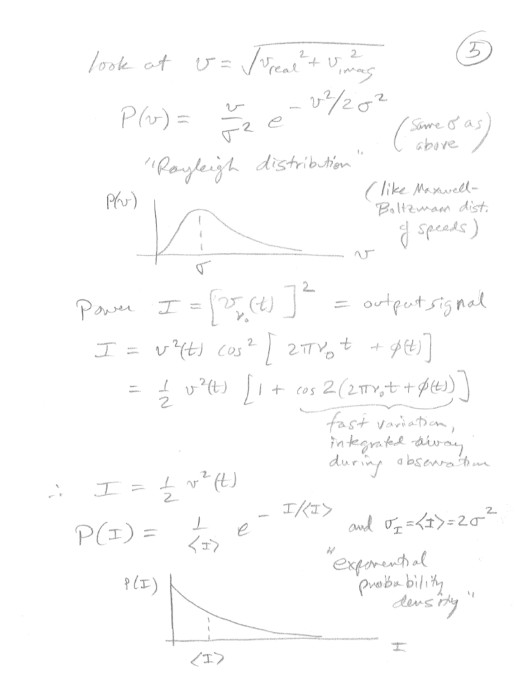*lock of* 
$$
U = \sqrt{v_{real} + v_{mag}}
$$
 (5)

\n
$$
P(v) = \frac{v}{\sqrt{2}} e^{-\frac{v^{2}/2}{(s_{max}^{2} ds)}}
$$
\n
$$
P(w) = \frac{v}{\sqrt{2}} e^{-\frac{v^{2}/2}{(s_{max}^{2} ds)}}
$$
\n
$$
P(w) = \frac{v_{max}^{2}}{\sqrt{2}} e^{-\frac{v_{max}^{2}}{2}} e^{-\frac{v_{max}^{2}}{2}} e^{-\frac{v_{max}^{2}}{2}} e^{-\frac{v_{max}^{2}}{2}}
$$
\n
$$
T = v^{2}(t) cos^{2}[2\pi v_{0}t + \cancel{v}(t)]
$$
\n
$$
= \frac{1}{2} v^{2}(t) [1 + cos 2(2\pi v_{0}t + \cancel{v}(t))]
$$
\n
$$
= \frac{1}{2} v^{2}(t) [1 + cos 2(2\pi v_{0}t + \cancel{v}(t))]
$$
\n
$$
= \frac{1}{2} v^{2}(t) [1 + cos 2(2\pi v_{0}t + \cancel{v}(t))]
$$
\n
$$
= \frac{1}{2} v^{2}(t) [1 + cos 2(2\pi v_{0}t + \cancel{v}(t))]
$$
\n
$$
= \frac{1}{2} (1 + cos 2\pi v_{0}t + \cancel{v}(t))
$$
\n
$$
= \frac{1}{2} (1 + cos 2\pi v_{0}t + \cancel{v}(t))
$$
\n
$$
= \frac{1}{2} (1 + cos 2\pi v_{0}t + \cancel{v}(t))
$$
\n
$$
= \frac{1}{2} (1 + cos 2\pi v_{0}t + \cancel{v}(t))
$$
\n
$$
= \frac{1}{2} (1 + cos 2\pi v_{0}t + \cancel{v}(t))
$$
\n
$$
= \frac{1}{2} (1 + cos 2\pi v_{0}t + \cancel{v}(t))
$$
\n
$$
= \frac{1}{2} (1 + cos 2\pi v_{0}t + \cancel{v}(t))
$$
\n
$$
= \frac{1}{2} (1 + cos 2\pi v_{0}t + \cancel{v}(t))
$$
\n
$$
= \frac{1}{2} (
$$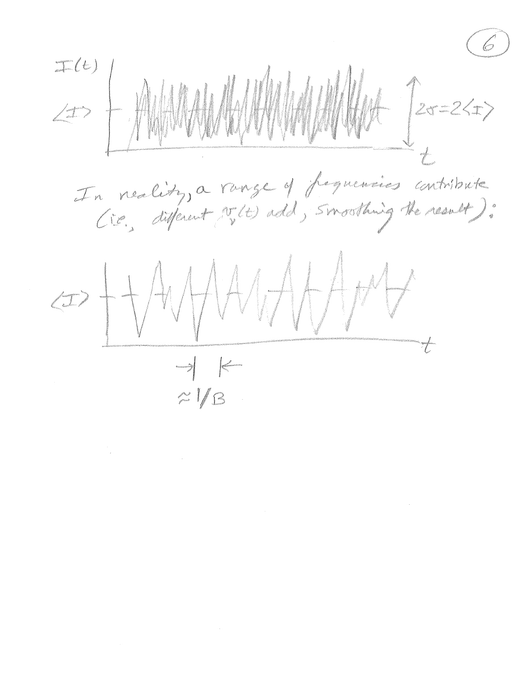$\vec{r}$ In neality, a range of fequencies contribute  $\Rightarrow \frac{1}{11} \sqrt{41444447}$ *mandal* de <mark>formanda</mark>  $\approx$  1/13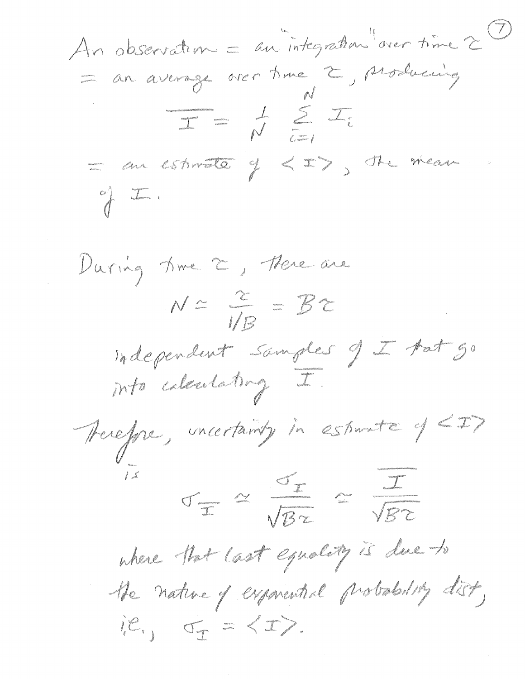An observation = au integration diver time 2 ? an an estimate of  $\langle x \rangle$  ste mean  $\begin{picture}(220,20) \put(0,0){\line(1,0){10}} \put(15,0){\line(1,0){10}} \put(15,0){\line(1,0){10}} \put(15,0){\line(1,0){10}} \put(15,0){\line(1,0){10}} \put(15,0){\line(1,0){10}} \put(15,0){\line(1,0){10}} \put(15,0){\line(1,0){10}} \put(15,0){\line(1,0){10}} \put(15,0){\line(1,0){10}} \put(15,0){\line(1,0){10}} \put(15,0){\line($ During time 2, there are  $N \simeq \frac{1}{\sqrt{B}} = \frac{B}{B}$ independent samples J de Matgo Therefore, uncertainty in estimate of LID Jean More Re where that last equality is deal to the nature of expandinal probability dist, ie., of = < ID.